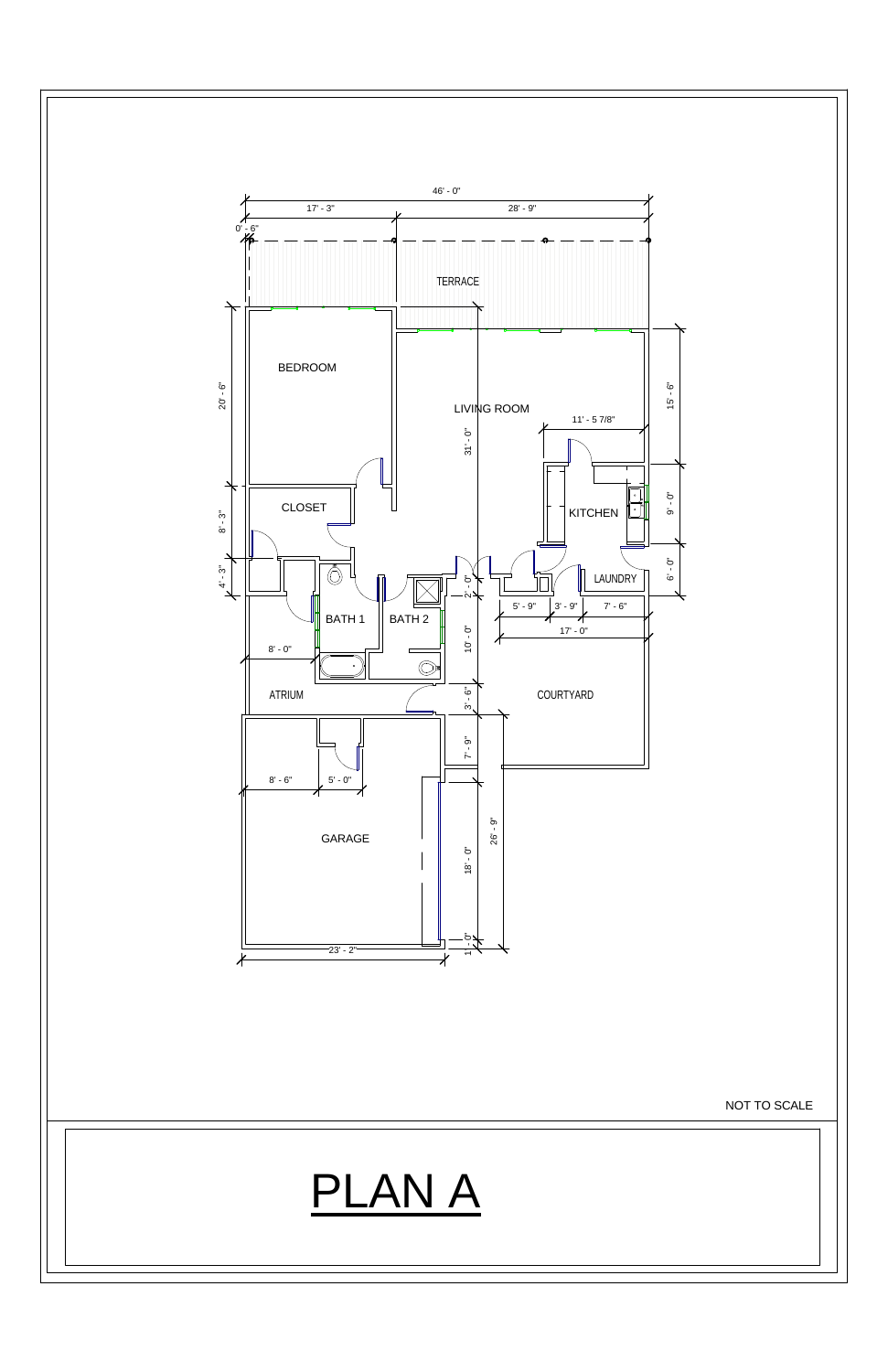



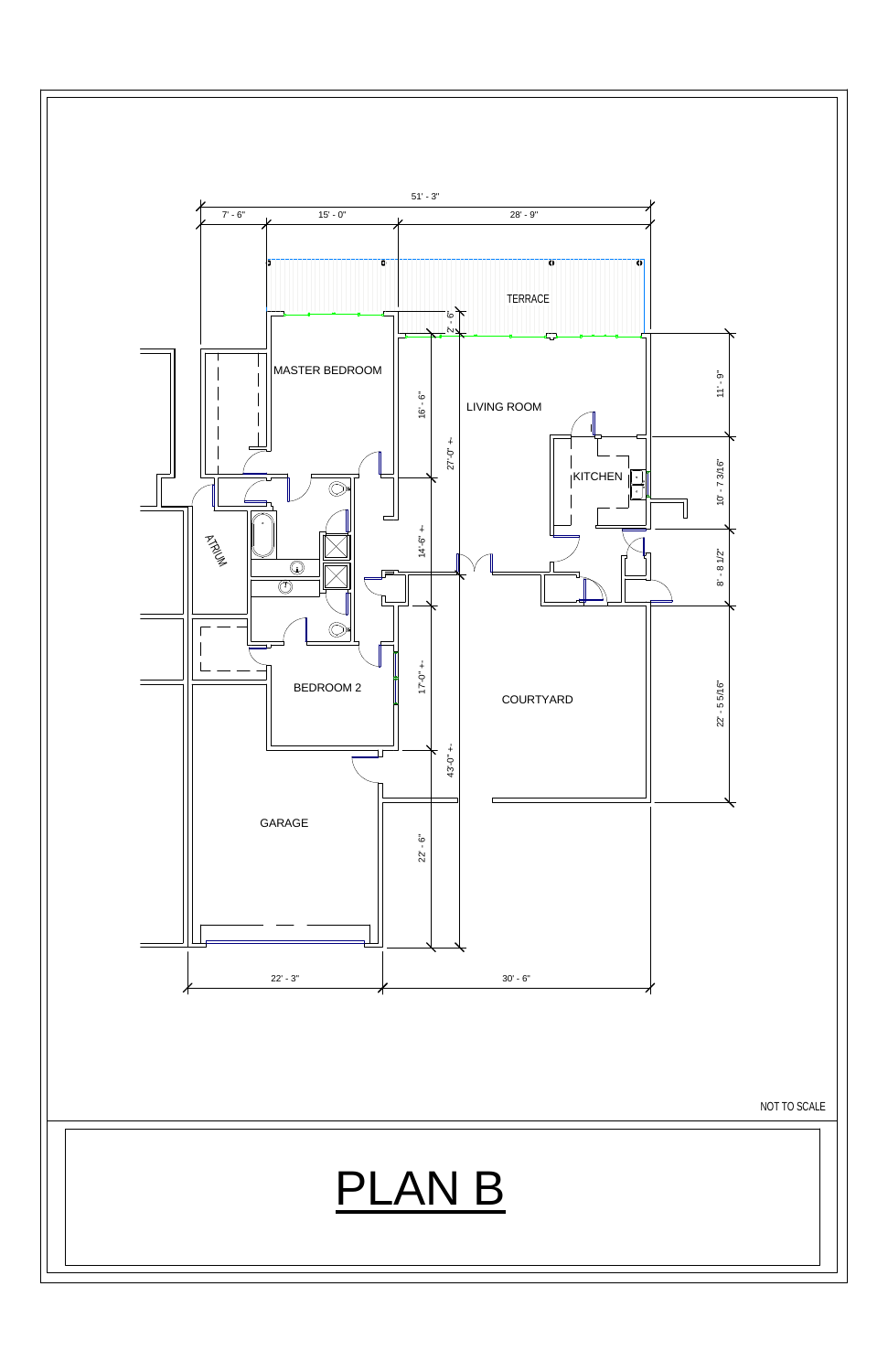

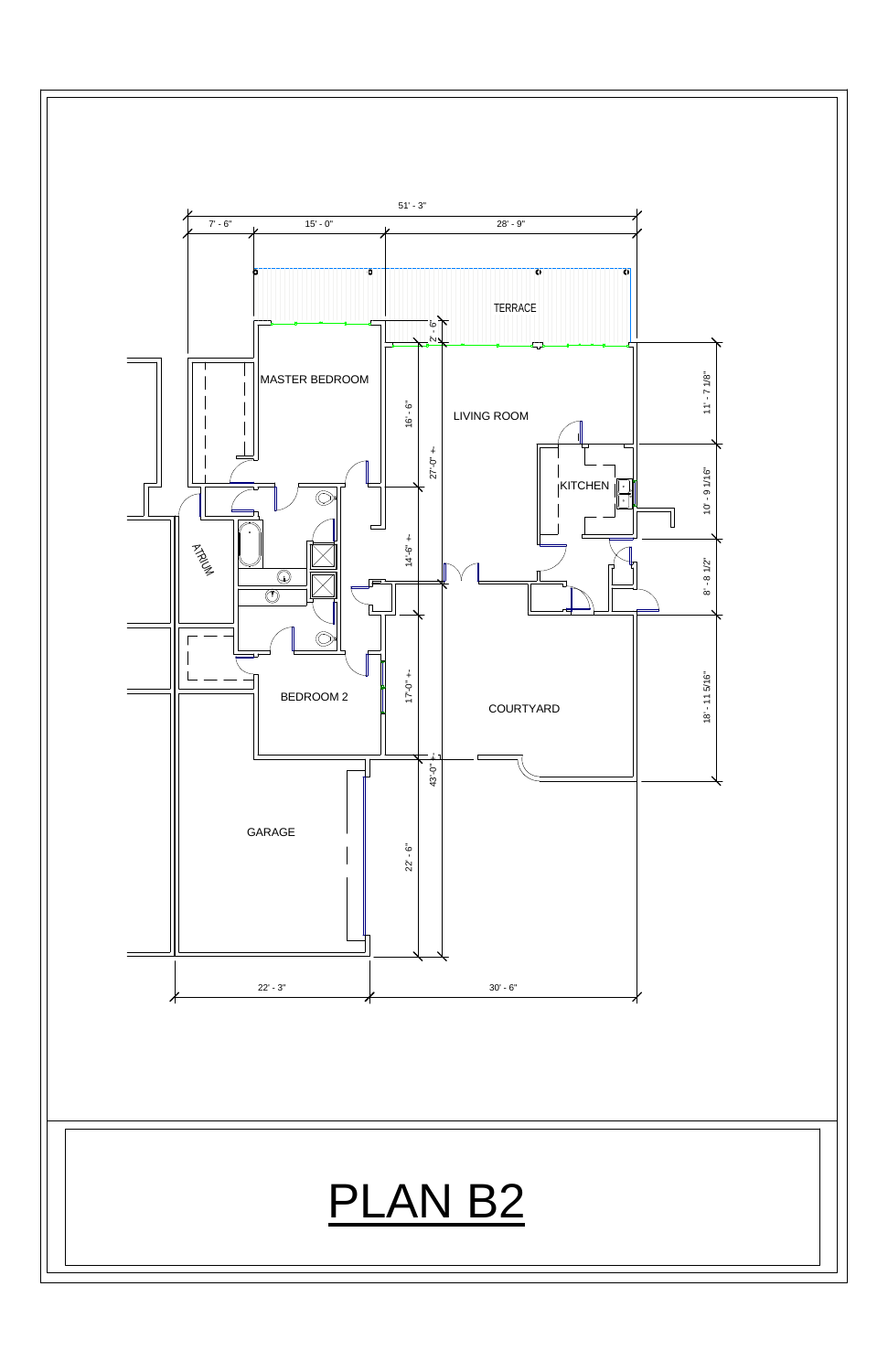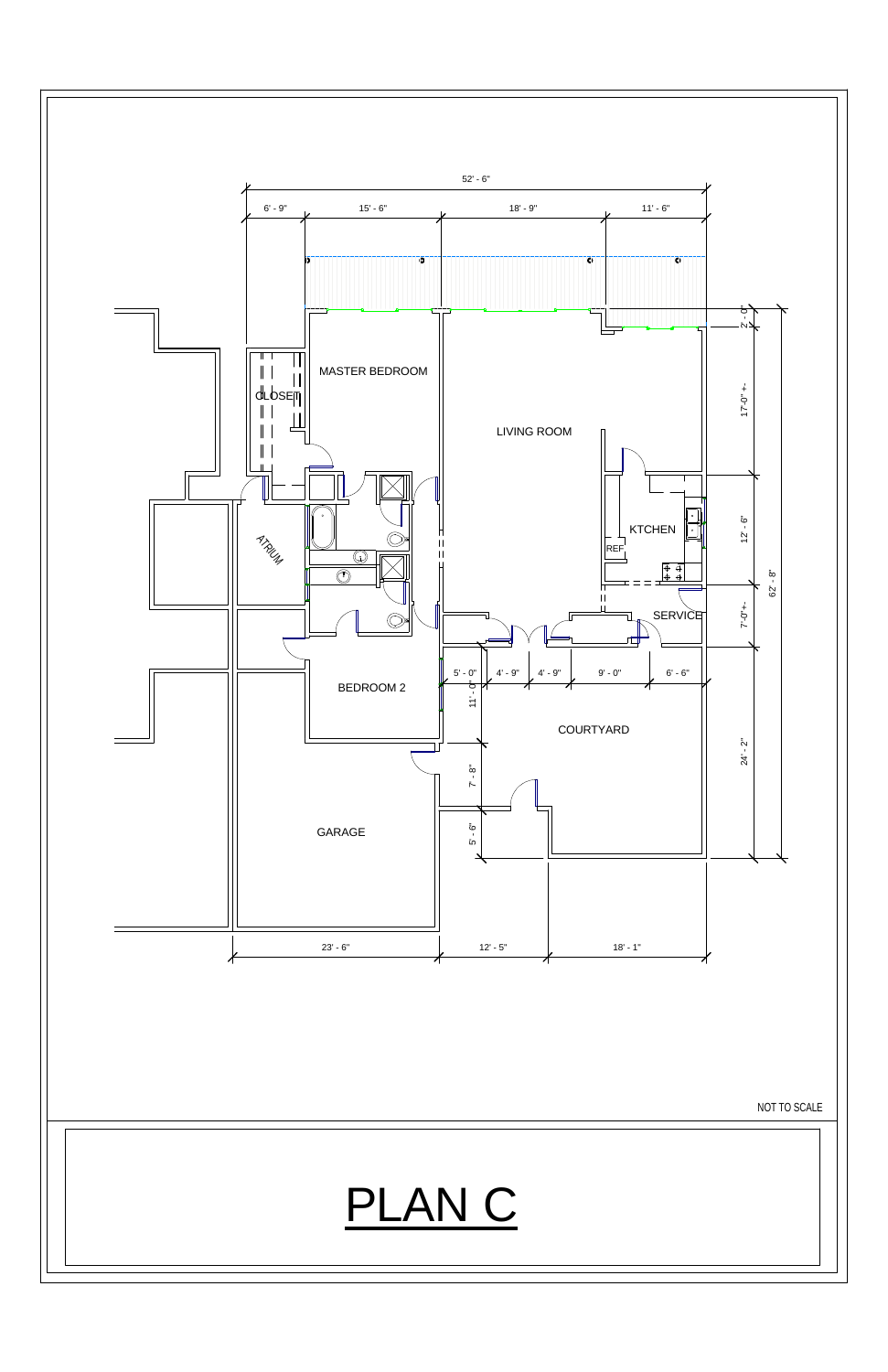